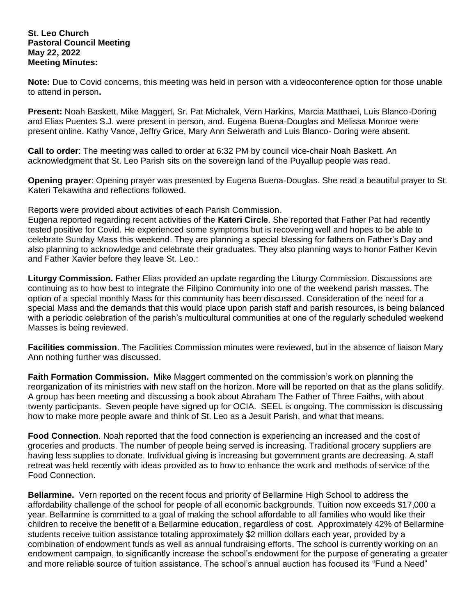## **St. Leo Church Pastoral Council Meeting May 22, 2022 Meeting Minutes:**

**Note:** Due to Covid concerns, this meeting was held in person with a videoconference option for those unable to attend in person**.**

**Present:** Noah Baskett, Mike Maggert, Sr. Pat Michalek, Vern Harkins, Marcia Matthaei, Luis Blanco-Doring and Elias Puentes S.J. were present in person, and. Eugena Buena-Douglas and Melissa Monroe were present online. Kathy Vance, Jeffry Grice, Mary Ann Seiwerath and Luis Blanco- Doring were absent.

**Call to order**: The meeting was called to order at 6:32 PM by council vice-chair Noah Baskett. An acknowledgment that St. Leo Parish sits on the sovereign land of the Puyallup people was read.

**Opening prayer**: Opening prayer was presented by Eugena Buena-Douglas. She read a beautiful prayer to St. Kateri Tekawitha and reflections followed.

Reports were provided about activities of each Parish Commission.

Eugena reported regarding recent activities of the **Kateri Circle**. She reported that Father Pat had recently tested positive for Covid. He experienced some symptoms but is recovering well and hopes to be able to celebrate Sunday Mass this weekend. They are planning a special blessing for fathers on Father's Day and also planning to acknowledge and celebrate their graduates. They also planning ways to honor Father Kevin and Father Xavier before they leave St. Leo.:

**Liturgy Commission.** Father Elias provided an update regarding the Liturgy Commission. Discussions are continuing as to how best to integrate the Filipino Community into one of the weekend parish masses. The option of a special monthly Mass for this community has been discussed. Consideration of the need for a special Mass and the demands that this would place upon parish staff and parish resources, is being balanced with a periodic celebration of the parish's multicultural communities at one of the regularly scheduled weekend Masses is being reviewed.

**Facilities commission**. The Facilities Commission minutes were reviewed, but in the absence of liaison Mary Ann nothing further was discussed.

**Faith Formation Commission.** Mike Maggert commented on the commission's work on planning the reorganization of its ministries with new staff on the horizon. More will be reported on that as the plans solidify. A group has been meeting and discussing a book about Abraham The Father of Three Faiths, with about twenty participants. Seven people have signed up for OCIA. SEEL is ongoing. The commission is discussing how to make more people aware and think of St. Leo as a Jesuit Parish, and what that means.

**Food Connection**. Noah reported that the food connection is experiencing an increased and the cost of groceries and products. The number of people being served is increasing. Traditional grocery suppliers are having less supplies to donate. Individual giving is increasing but government grants are decreasing. A staff retreat was held recently with ideas provided as to how to enhance the work and methods of service of the Food Connection.

**Bellarmine.** Vern reported on the recent focus and priority of Bellarmine High School to address the affordability challenge of the school for people of all economic backgrounds. Tuition now exceeds \$17,000 a year. Bellarmine is committed to a goal of making the school affordable to all families who would like their children to receive the benefit of a Bellarmine education, regardless of cost. Approximately 42% of Bellarmine students receive tuition assistance totaling approximately \$2 million dollars each year, provided by a combination of endowment funds as well as annual fundraising efforts. The school is currently working on an endowment campaign, to significantly increase the school's endowment for the purpose of generating a greater and more reliable source of tuition assistance. The school's annual auction has focused its "Fund a Need"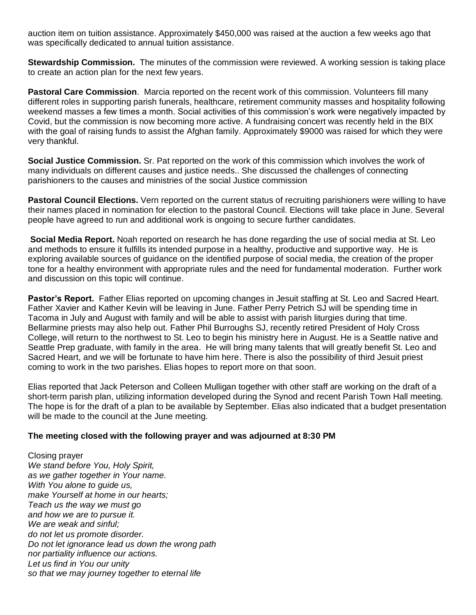auction item on tuition assistance. Approximately \$450,000 was raised at the auction a few weeks ago that was specifically dedicated to annual tuition assistance.

**Stewardship Commission.** The minutes of the commission were reviewed. A working session is taking place to create an action plan for the next few years.

**Pastoral Care Commission**. Marcia reported on the recent work of this commission. Volunteers fill many different roles in supporting parish funerals, healthcare, retirement community masses and hospitality following weekend masses a few times a month. Social activities of this commission's work were negatively impacted by Covid, but the commission is now becoming more active. A fundraising concert was recently held in the BIX with the goal of raising funds to assist the Afghan family. Approximately \$9000 was raised for which they were very thankful.

**Social Justice Commission.** Sr. Pat reported on the work of this commission which involves the work of many individuals on different causes and justice needs.. She discussed the challenges of connecting parishioners to the causes and ministries of the social Justice commission

**Pastoral Council Elections.** Vern reported on the current status of recruiting parishioners were willing to have their names placed in nomination for election to the pastoral Council. Elections will take place in June. Several people have agreed to run and additional work is ongoing to secure further candidates.

**Social Media Report.** Noah reported on research he has done regarding the use of social media at St. Leo and methods to ensure it fulfills its intended purpose in a healthy, productive and supportive way. He is exploring available sources of guidance on the identified purpose of social media, the creation of the proper tone for a healthy environment with appropriate rules and the need for fundamental moderation. Further work and discussion on this topic will continue.

**Pastor's Report.** Father Elias reported on upcoming changes in Jesuit staffing at St. Leo and Sacred Heart. Father Xavier and Kather Kevin will be leaving in June. Father Perry Petrich SJ will be spending time in Tacoma in July and August with family and will be able to assist with parish liturgies during that time. Bellarmine priests may also help out. Father Phil Burroughs SJ, recently retired President of Holy Cross College, will return to the northwest to St. Leo to begin his ministry here in August. He is a Seattle native and Seattle Prep graduate, with family in the area. He will bring many talents that will greatly benefit St. Leo and Sacred Heart, and we will be fortunate to have him here. There is also the possibility of third Jesuit priest coming to work in the two parishes. Elias hopes to report more on that soon.

Elias reported that Jack Peterson and Colleen Mulligan together with other staff are working on the draft of a short-term parish plan, utilizing information developed during the Synod and recent Parish Town Hall meeting. The hope is for the draft of a plan to be available by September. Elias also indicated that a budget presentation will be made to the council at the June meeting.

## **The meeting closed with the following prayer and was adjourned at 8:30 PM**

Closing prayer *We stand before You, Holy Spirit, as we gather together in Your name. With You alone to guide us, make Yourself at home in our hearts; Teach us the way we must go and how we are to pursue it. We are weak and sinful; do not let us promote disorder. Do not let ignorance lead us down the wrong path nor partiality influence our actions. Let us find in You our unity so that we may journey together to eternal life*